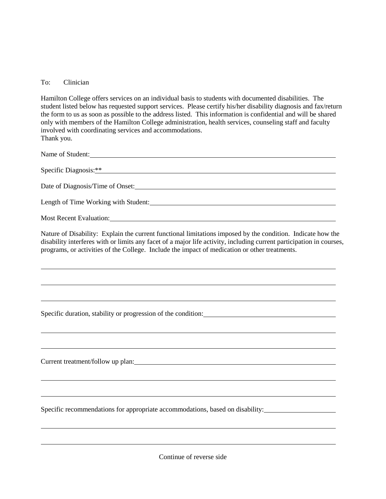## To: Clinician

Hamilton College offers services on an individual basis to students with documented disabilities. The student listed below has requested support services. Please certify his/her disability diagnosis and fax/return the form to us as soon as possible to the address listed. This information is confidential and will be shared only with members of the Hamilton College administration, health services, counseling staff and faculty involved with coordinating services and accommodations. Thank you.

Name of Student: Specific Diagnosis: \*\* Date of Diagnosis/Time of Onset: Length of Time Working with Student:

Most Recent Evaluation:

 $\overline{a}$ 

 $\overline{a}$ 

Nature of Disability: Explain the current functional limitations imposed by the condition. Indicate how the disability interferes with or limits any facet of a major life activity, including current participation in courses, programs, or activities of the College. Include the impact of medication or other treatments.

Specific duration, stability or progression of the condition:

Current treatment/follow up plan:

Specific recommendations for appropriate accommodations, based on disability:

Continue of reverse side